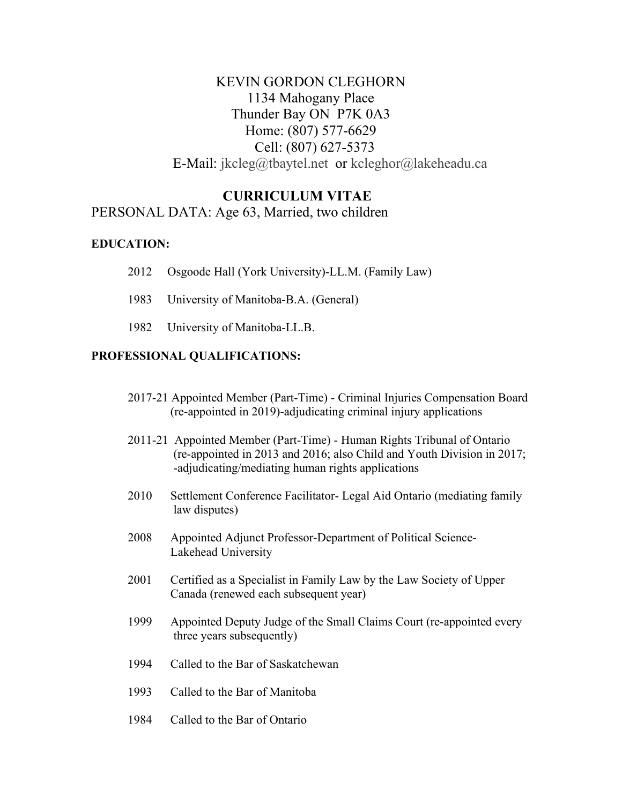# KEVIN GORDON CLEGHORN 1134 Mahogany Place Thunder Bay ON P7K 0A3 Home: (807) 577-6629 Cell: (807) 627-5373 E-Mail: [jkcleg@tbaytel.net](mailto:jkcleg@tbaytel.net) or kcleghor@lakeheadu.ca

## **CURRICULUM VITAE**

### PERSONAL DATA: Age 63, Married, two children

#### **EDUCATION:**

- 2012 Osgoode Hall (York University)-LL.M. (Family Law)
- 1983 University of Manitoba-B.A. (General)
- 1982 University of Manitoba-LL.B.

#### **PROFESSIONAL QUALIFICATIONS:**

- 2017-21 Appointed Member (Part-Time) Criminal Injuries Compensation Board (re-appointed in 2019)-adjudicating criminal injury applications
- 2011-21 Appointed Member (Part-Time) Human Rights Tribunal of Ontario (re-appointed in 2013 and 2016; also Child and Youth Division in 2017; -adjudicating/mediating human rights applications
- 2010 Settlement Conference Facilitator- Legal Aid Ontario (mediating family law disputes)
- 2008 Appointed Adjunct Professor-Department of Political Science-Lakehead University
- 2001 Certified as a Specialist in Family Law by the Law Society of Upper Canada (renewed each subsequent year)
- 1999 Appointed Deputy Judge of the Small Claims Court (re-appointed every three years subsequently)
- 1994 Called to the Bar of Saskatchewan
- 1993 Called to the Bar of Manitoba
- 1984 Called to the Bar of Ontario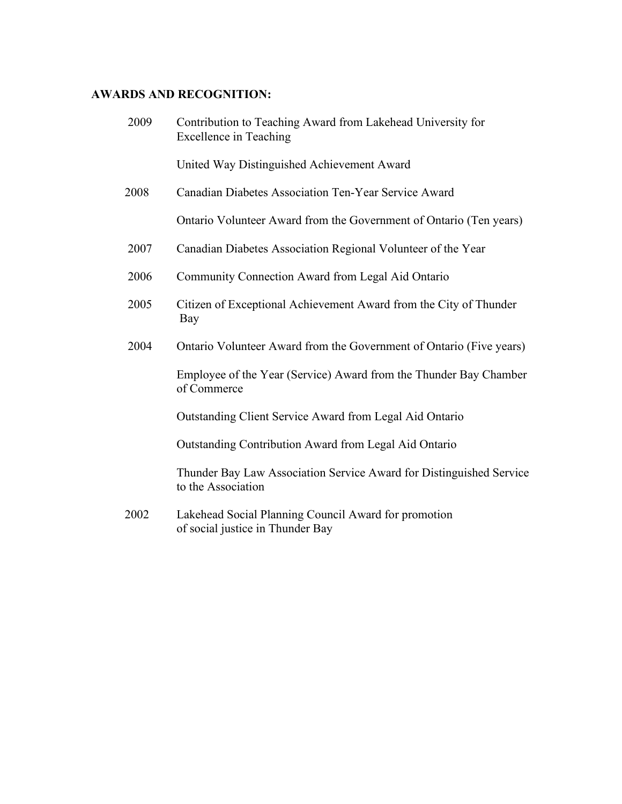# **AWARDS AND RECOGNITION:**

| 2009 | Contribution to Teaching Award from Lakehead University for<br><b>Excellence in Teaching</b> |
|------|----------------------------------------------------------------------------------------------|
|      | United Way Distinguished Achievement Award                                                   |
| 2008 | Canadian Diabetes Association Ten-Year Service Award                                         |
|      | Ontario Volunteer Award from the Government of Ontario (Ten years)                           |
| 2007 | Canadian Diabetes Association Regional Volunteer of the Year                                 |
| 2006 | Community Connection Award from Legal Aid Ontario                                            |
| 2005 | Citizen of Exceptional Achievement Award from the City of Thunder<br>Bay                     |
| 2004 | Ontario Volunteer Award from the Government of Ontario (Five years)                          |
|      | Employee of the Year (Service) Award from the Thunder Bay Chamber<br>of Commerce             |
|      | Outstanding Client Service Award from Legal Aid Ontario                                      |
|      | Outstanding Contribution Award from Legal Aid Ontario                                        |
|      | Thunder Bay Law Association Service Award for Distinguished Service<br>to the Association    |
| 2002 | Lakehead Social Planning Council Award for promotion<br>of social justice in Thunder Bay     |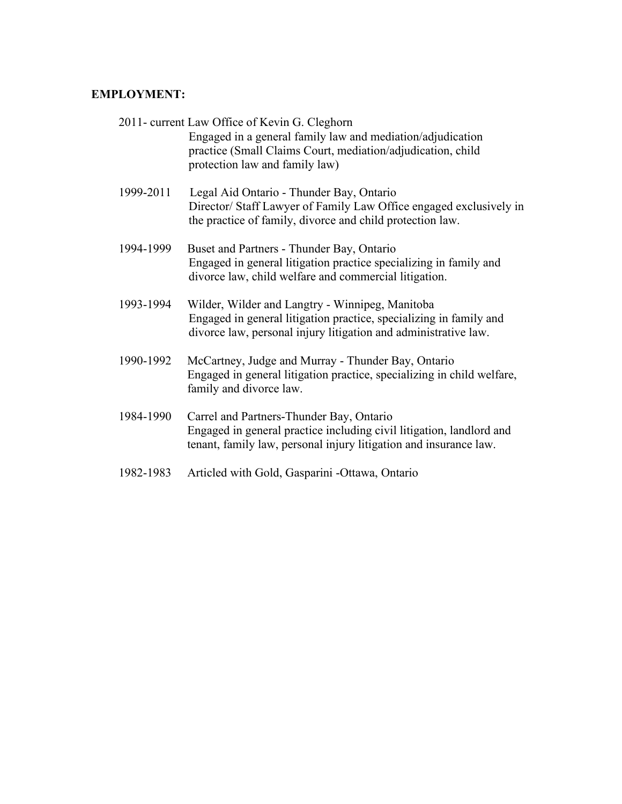### **EMPLOYMENT:**

|           | 2011- current Law Office of Kevin G. Cleghorn<br>Engaged in a general family law and mediation/adjudication<br>practice (Small Claims Court, mediation/adjudication, child<br>protection law and family law) |
|-----------|--------------------------------------------------------------------------------------------------------------------------------------------------------------------------------------------------------------|
| 1999-2011 | Legal Aid Ontario - Thunder Bay, Ontario<br>Director/ Staff Lawyer of Family Law Office engaged exclusively in<br>the practice of family, divorce and child protection law.                                  |
| 1994-1999 | Buset and Partners - Thunder Bay, Ontario<br>Engaged in general litigation practice specializing in family and<br>divorce law, child welfare and commercial litigation.                                      |
| 1993-1994 | Wilder, Wilder and Langtry - Winnipeg, Manitoba<br>Engaged in general litigation practice, specializing in family and<br>divorce law, personal injury litigation and administrative law.                     |
| 1990-1992 | McCartney, Judge and Murray - Thunder Bay, Ontario<br>Engaged in general litigation practice, specializing in child welfare,<br>family and divorce law.                                                      |
| 1984-1990 | Carrel and Partners-Thunder Bay, Ontario<br>Engaged in general practice including civil litigation, landlord and<br>tenant, family law, personal injury litigation and insurance law.                        |
| 1982-1983 | Articled with Gold, Gasparini -Ottawa, Ontario                                                                                                                                                               |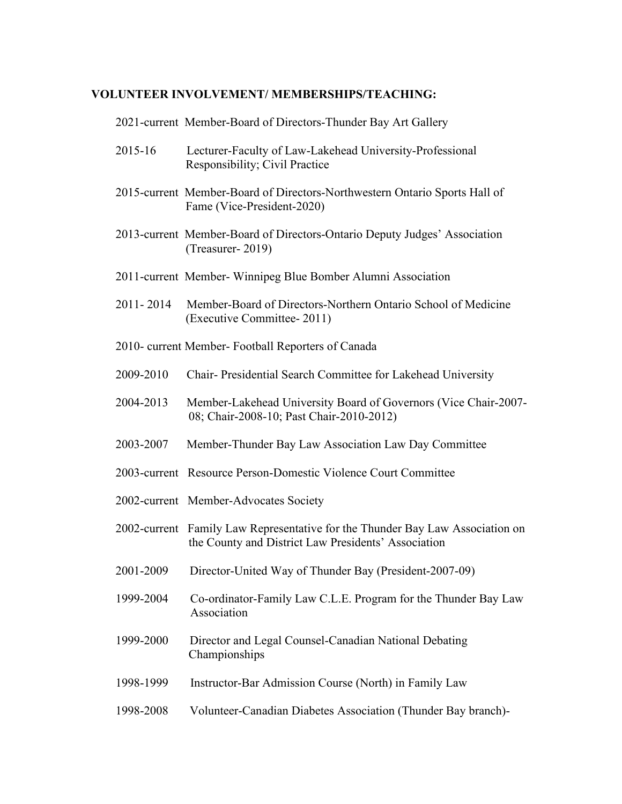### **VOLUNTEER INVOLVEMENT/ MEMBERSHIPS/TEACHING:**

2021-current Member-Board of Directors-Thunder Bay Art Gallery

|                                                    | 2015-16   | Lecturer-Faculty of Law-Lakehead University-Professional<br>Responsibility; Civil Practice                                           |
|----------------------------------------------------|-----------|--------------------------------------------------------------------------------------------------------------------------------------|
|                                                    |           | 2015-current Member-Board of Directors-Northwestern Ontario Sports Hall of<br>Fame (Vice-President-2020)                             |
|                                                    |           | 2013-current Member-Board of Directors-Ontario Deputy Judges' Association<br>(Treasurer-2019)                                        |
|                                                    |           | 2011-current Member- Winnipeg Blue Bomber Alumni Association                                                                         |
|                                                    | 2011-2014 | Member-Board of Directors-Northern Ontario School of Medicine<br>(Executive Committee-2011)                                          |
| 2010- current Member- Football Reporters of Canada |           |                                                                                                                                      |
|                                                    | 2009-2010 | Chair- Presidential Search Committee for Lakehead University                                                                         |
|                                                    | 2004-2013 | Member-Lakehead University Board of Governors (Vice Chair-2007-<br>08; Chair-2008-10; Past Chair-2010-2012)                          |
|                                                    | 2003-2007 | Member-Thunder Bay Law Association Law Day Committee                                                                                 |
|                                                    |           | 2003-current Resource Person-Domestic Violence Court Committee                                                                       |
|                                                    |           | 2002-current Member-Advocates Society                                                                                                |
|                                                    |           | 2002-current Family Law Representative for the Thunder Bay Law Association on<br>the County and District Law Presidents' Association |
|                                                    | 2001-2009 | Director-United Way of Thunder Bay (President-2007-09)                                                                               |
|                                                    | 1999-2004 | Co-ordinator-Family Law C.L.E. Program for the Thunder Bay Law<br>Association                                                        |
|                                                    | 1999-2000 | Director and Legal Counsel-Canadian National Debating<br>Championships                                                               |
|                                                    | 1998-1999 | Instructor-Bar Admission Course (North) in Family Law                                                                                |
|                                                    | 1998-2008 | Volunteer-Canadian Diabetes Association (Thunder Bay branch)-                                                                        |